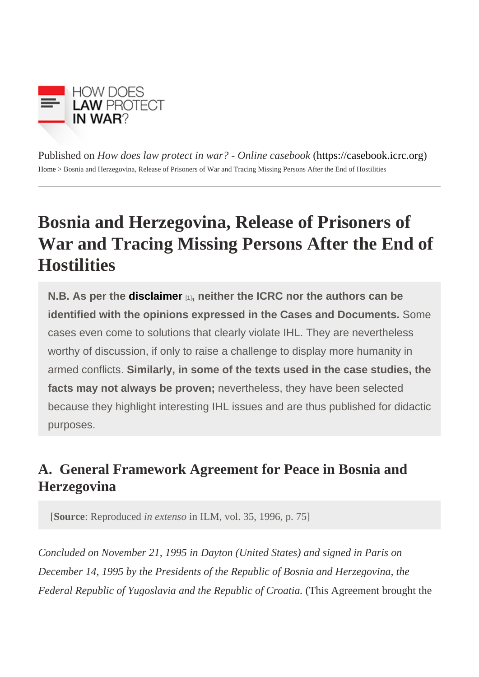Published on How does law protect in war? - Online caseboot these is caseb[ook](https://casebook.icrc.org).icrc.org [Home](https://casebook.icrc.org/) > Bosnia and Herzegovina, Release of Prisoners of War and Tracing Missing Persons After the End of Hostilities

# Bosnia and Herzegovina, Release of Prisoners of War and Tracing Missing Persons After the End of **Hostilities**

N.B. As per the [disclaimer](https://casebook.icrc.org/disclaimer-and-copyright)  $_{[1]}$ , neither the ICRC nor the authors can be identified with the opinions expressed in the Cases and Documents. Some cases even come to solutions that clearly violate IHL. They are nevertheless worthy of discussion, if only to raise a challenge to display more humanity in armed conflicts. Similarly, in some of the texts used in the case studies, the facts may not always be proven; nevertheless, they have been selected because they highlight interesting IHL issues and are thus published for didactic purposes.

## A. General Framework Agreement for Peace in Bosnia and **Herzegovina**

[Source Reproduced in extenson ILM, vol. 35, 1996, p. 75]

Concluded on November 21, 1995 in Dayton (United States) and signed in Paris on December 14, 1995 by the Presidents of the Republic of Bosnia and Herzegovina, the Federal Republic of Yugoslavia and the Republic of Croatians Agreement brought the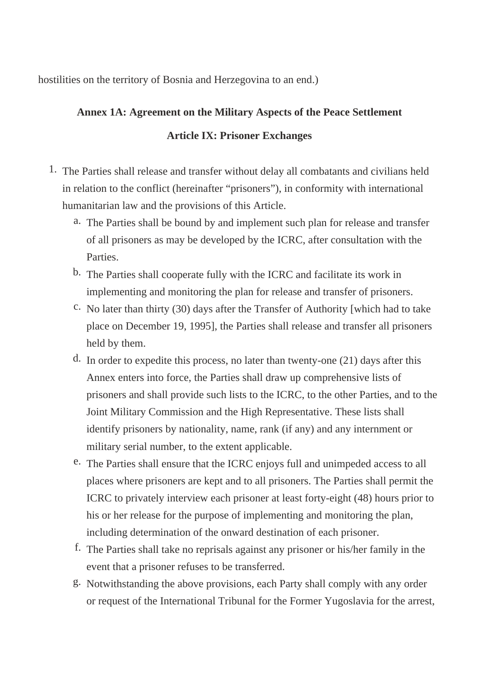hostilities on the territory of Bosnia and Herzegovina to an end.)

# **Annex 1A: Agreement on the Military Aspects of the Peace Settlement Article IX: Prisoner Exchanges**

- 1. The Parties shall release and transfer without delay all combatants and civilians held in relation to the conflict (hereinafter "prisoners"), in conformity with international humanitarian law and the provisions of this Article.
	- a. The Parties shall be bound by and implement such plan for release and transfer of all prisoners as may be developed by the ICRC, after consultation with the Parties.
	- b. The Parties shall cooperate fully with the ICRC and facilitate its work in implementing and monitoring the plan for release and transfer of prisoners.
	- c. No later than thirty (30) days after the Transfer of Authority [which had to take place on December 19, 1995], the Parties shall release and transfer all prisoners held by them.
	- d. In order to expedite this process, no later than twenty-one (21) days after this Annex enters into force, the Parties shall draw up comprehensive lists of prisoners and shall provide such lists to the ICRC, to the other Parties, and to the Joint Military Commission and the High Representative. These lists shall identify prisoners by nationality, name, rank (if any) and any internment or military serial number, to the extent applicable.
	- e. The Parties shall ensure that the ICRC enjoys full and unimpeded access to all places where prisoners are kept and to all prisoners. The Parties shall permit the ICRC to privately interview each prisoner at least forty-eight (48) hours prior to his or her release for the purpose of implementing and monitoring the plan, including determination of the onward destination of each prisoner.
	- f. The Parties shall take no reprisals against any prisoner or his/her family in the event that a prisoner refuses to be transferred.
	- g. Notwithstanding the above provisions, each Party shall comply with any order or request of the International Tribunal for the Former Yugoslavia for the arrest,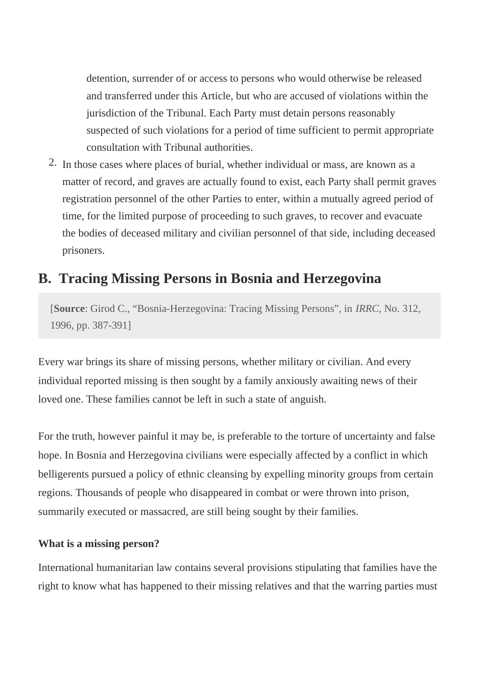detention, surrender of or access to persons who would otherwise be released and transferred under this Article, but who are accused of violations within the jurisdiction of the Tribunal. Each Party must detain persons reasonably suspected of such violations for a period of time sufficient to permit appropriate consultation with Tribunal authorities.

2. In those cases where places of burial, whether individual or mass, are known as a matter of record, and graves are actually found to exist, each Party shall permit graves registration personnel of the other Parties to enter, within a mutually agreed period of time, for the limited purpose of proceeding to such graves, to recover and evacuate the bodies of deceased military and civilian personnel of that side, including deceased prisoners.

### **B. Tracing Missing Persons in Bosnia and Herzegovina**

[**Source**: Girod C., "Bosnia-Herzegovina: Tracing Missing Persons", in *IRRC*, No. 312, 1996, pp. 387-391]

Every war brings its share of missing persons, whether military or civilian. And every individual reported missing is then sought by a family anxiously awaiting news of their loved one. These families cannot be left in such a state of anguish.

For the truth, however painful it may be, is preferable to the torture of uncertainty and false hope. In Bosnia and Herzegovina civilians were especially affected by a conflict in which belligerents pursued a policy of ethnic cleansing by expelling minority groups from certain regions. Thousands of people who disappeared in combat or were thrown into prison, summarily executed or massacred, are still being sought by their families.

#### **What is a missing person?**

International humanitarian law contains several provisions stipulating that families have the right to know what has happened to their missing relatives and that the warring parties must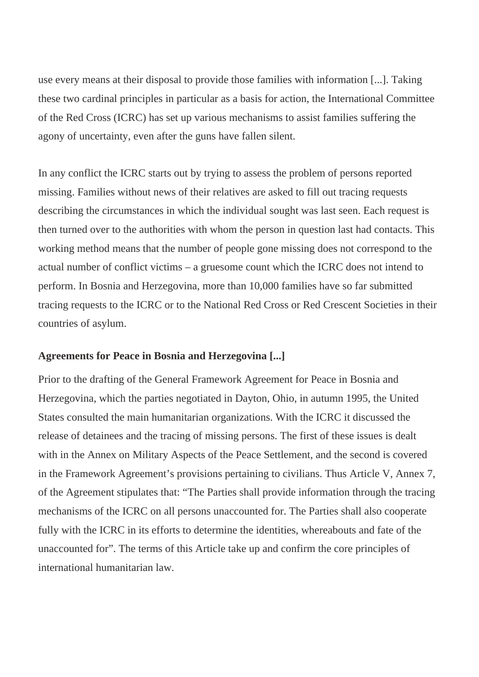use every means at their disposal to provide those families with information [...]. Taking these two cardinal principles in particular as a basis for action, the International Committee of the Red Cross (ICRC) has set up various mechanisms to assist families suffering the agony of uncertainty, even after the guns have fallen silent.

In any conflict the ICRC starts out by trying to assess the problem of persons reported missing. Families without news of their relatives are asked to fill out tracing requests describing the circumstances in which the individual sought was last seen. Each request is then turned over to the authorities with whom the person in question last had contacts. This working method means that the number of people gone missing does not correspond to the actual number of conflict victims – a gruesome count which the ICRC does not intend to perform. In Bosnia and Herzegovina, more than 10,000 families have so far submitted tracing requests to the ICRC or to the National Red Cross or Red Crescent Societies in their countries of asylum.

#### **Agreements for Peace in Bosnia and Herzegovina [...]**

Prior to the drafting of the General Framework Agreement for Peace in Bosnia and Herzegovina, which the parties negotiated in Dayton, Ohio, in autumn 1995, the United States consulted the main humanitarian organizations. With the ICRC it discussed the release of detainees and the tracing of missing persons. The first of these issues is dealt with in the Annex on Military Aspects of the Peace Settlement, and the second is covered in the Framework Agreement's provisions pertaining to civilians. Thus Article V, Annex 7, of the Agreement stipulates that: "The Parties shall provide information through the tracing mechanisms of the ICRC on all persons unaccounted for. The Parties shall also cooperate fully with the ICRC in its efforts to determine the identities, whereabouts and fate of the unaccounted for". The terms of this Article take up and confirm the core principles of international humanitarian law.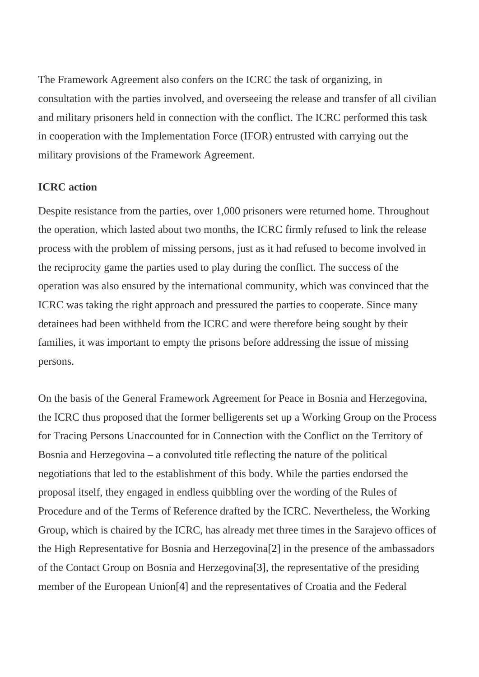<span id="page-4-0"></span>The Framework Agreement also confers on the ICRC the task of organizing, in consultation with the parties involved, and overseeing the release and transfer of all civilian and military prisoners held in connection with the conflict. The ICRC performed this task in cooperation with the Implementation Force (IFOR) entrusted with carrying out the military provisions of the Framework Agreement.

#### ICRC action

Despite resistance from the parties, over 1,000 prisoners were returned home. Throughout the operation, which lasted about two months, the ICRC firmly refused to link the release process with the problem of missing persons, just as it had refused to become involved in the reciprocity game the parties used to play during the conflict. The success of the operation was also ensured by the international community, which was convinced that the ICRC was taking the right approach and pressured the parties to cooperate. Since many detainees had been withheld from the ICRC and were therefore being sought by their families, it was important to empty the prisons before addressing the issue of missing persons.

On the basis of the General Framework Agreement for Peace in Bosnia and Herzegovina, the ICRC thus proposed that the former belligerents set up a Working Group on the Process for Tracing Persons Unaccounted for in Connection with the Conflict on the Territory of Bosnia and Herzegovina – a convoluted title reflecting the nature of the political negotiations that led to the establishment of this body. While the parties endorsed the proposal itself, they engaged in endless quibbling over the wording of the Rules of Procedure and of the Terms of Reference drafted by the ICRC. Nevertheless, the Working Group, which is chaired by the ICRC, has already met three times in the Sarajevo offices of the High Representati[v](#page-7-0)e for Bosnia and Herzego 2 in the presence of the ambassadors of the Contact Group on Bosnia and Herzego@hahe representative of the presiding member of the European Uni[on](#page-7-0) and the representatives of Croatia and the Federal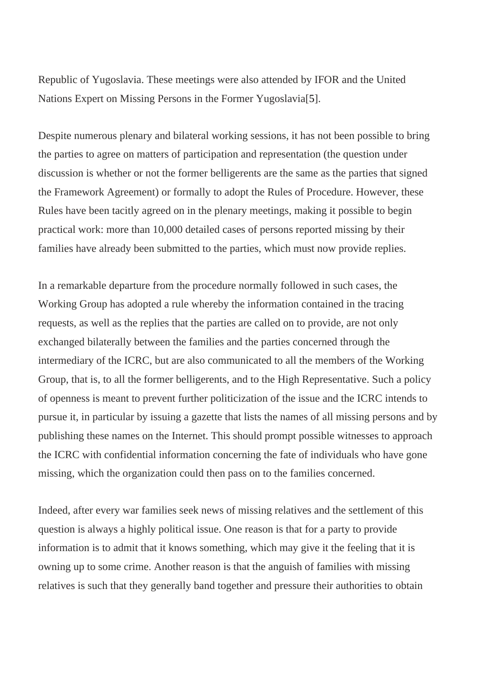<span id="page-5-0"></span>Republic of Yugoslavia. These meetings were also attended by IFOR and the United Nations Expert on Missing Persons in the Former Yugos&via[

Despite numerous plenary and bilateral working sessions, it has not been possible to bring the parties to agree on matters of participation and representation (the question under discussion is whether or not the former belligerents are the same as the parties that signed the Framework Agreement) or formally to adopt the Rules of Procedure. However, these Rules have been tacitly agreed on in the plenary meetings, making it possible to begin practical work: more than 10,000 detailed cases of persons reported missing by their families have already been submitted to the parties, which must now provide replies.

In a remarkable departure from the procedure normally followed in such cases, the Working Group has adopted a rule whereby the information contained in the tracing requests, as well as the replies that the parties are called on to provide, are not only exchanged bilaterally between the families and the parties concerned through the intermediary of the ICRC, but are also communicated to all the members of the Working Group, that is, to all the former belligerents, and to the High Representative. Such a policy of openness is meant to prevent further politicization of the issue and the ICRC intends to pursue it, in particular by issuing a gazette that lists the names of all missing persons and by publishing these names on the Internet. This should prompt possible witnesses to approach the ICRC with confidential information concerning the fate of individuals who have gone missing, which the organization could then pass on to the families concerned.

Indeed, after every war families seek news of missing relatives and the settlement of this question is always a highly political issue. One reason is that for a party to provide information is to admit that it knows something, which may give it the feeling that it is owning up to some crime. Another reason is that the anguish of families with missing relatives is such that they generally band together and pressure their authorities to obtain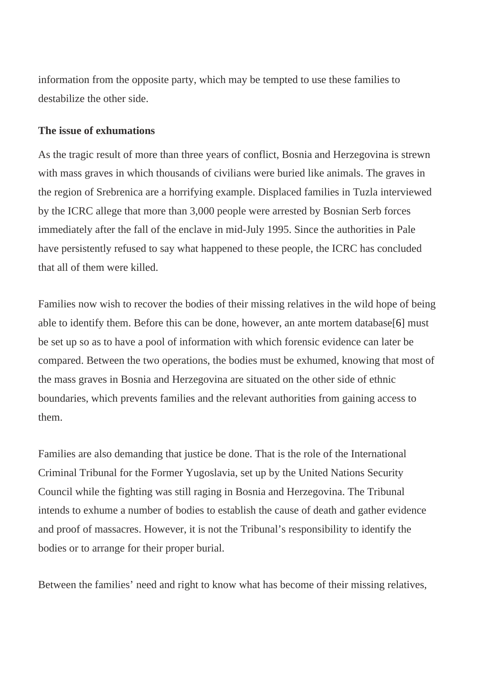<span id="page-6-0"></span>information from the opposite party, which may be tempted to use these families to destabilize the other side.

#### The issue of exhumations

As the tragic result of more than three years of conflict, Bosnia and Herzegovina is strewn with mass graves in which thousands of civilians were buried like animals. The graves in the region of Srebrenica are a horrifying example. Displaced families in Tuzla interviewed by the ICRC allege that more than 3,000 people were arrested by Bosnian Serb forces immediately after the fall of the enclave in mid-July 1995. Since the authorities in Pale have persistently refused to say what happened to these people, the ICRC has concluded that all of them were killed.

Families now wish to recover the bodies of their missing relatives in the wild hope of being able to identify them. Before this can be done, however, an ante mortem d[at](#page-7-0)abase be set up so as to have a pool of information with which forensic evidence can later be compared. Between the two operations, the bodies must be exhumed, knowing that most of the mass graves in Bosnia and Herzegovina are situated on the other side of ethnic boundaries, which prevents families and the relevant authorities from gaining access to them.

Families are also demanding that justice be done. That is the role of the International Criminal Tribunal for the Former Yugoslavia, set up by the United Nations Security Council while the fighting was still raging in Bosnia and Herzegovina. The Tribunal intends to exhume a number of bodies to establish the cause of death and gather evidence and proof of massacres. However, it is not the Tribunal's responsibility to identify the bodies or to arrange for their proper burial.

Between the families' need and right to know what has become of their missing relatives,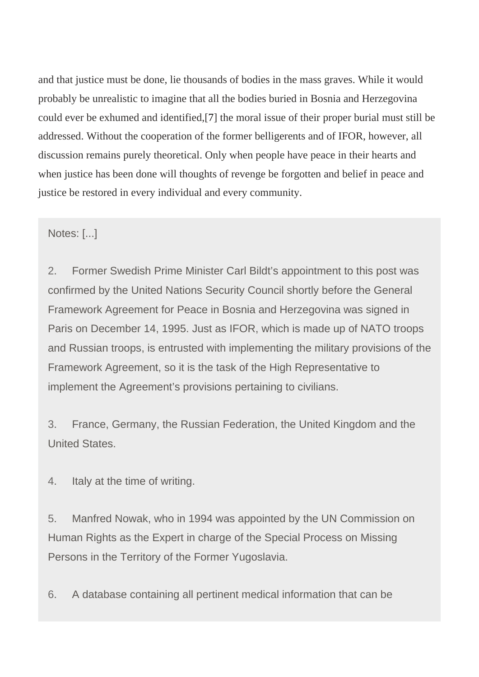<span id="page-7-0"></span>and that justice must be done, lie thousands of bodies in the mass graves. While it would probably be unrealistic to imagine that all the bodies buried in Bosnia and Herzegovina could ever be exhumed and identified the moral issue of their proper burial must still be addressed. Without the cooperation of the former belligerents and of IFOR, however, all discussion remains purely theoretical. Only when people have peace in their hearts and when justice has been done will thoughts of revenge be forgotten and belief in peace and justice be restored in every individual and every community.

Notes: [...]

[2](#page-4-0). Former Swedish Prime Minister Carl Bildt's appointment to this post was confirmed by the United Nations Security Council shortly before the General Framework Agreement for Peace in Bosnia and Herzegovina was signed in Paris on December 14, 1995. Just as IFOR, which is made up of NATO troops and Russian troops, is entrusted with implementing the military provisions of the Framework Agreement, so it is the task of the High Representative to implement the Agreement's provisions pertaining to civilians.

[3](#page-4-0). France, Germany, the Russian Federation, the United Kingdom and the United States.

[4](#page-4-0). Italy at the time of writing.

[5](#page-5-0). Manfred Nowak, who in 1994 was appointed by the UN Commission on Human Rights as the Expert in charge of the Special Process on Missing Persons in the Territory of the Former Yugoslavia.

[6](#page-6-0). A database containing all pertinent medical information that can be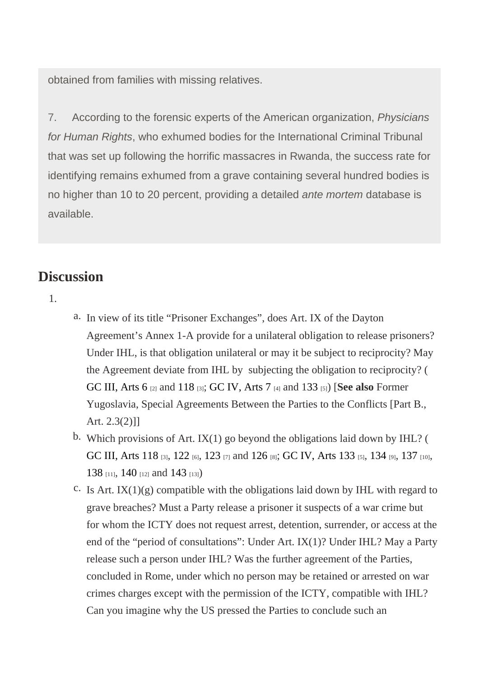obtained from families with missing relatives.

[7](#page-7-0). According to the forensic experts of the American organization, Physicians for Human Rights, who exhumed bodies for the International Criminal Tribunal that was set up following the horrific massacres in Rwanda, the success rate for identifying remains exhumed from a grave containing several hundred bodies is no higher than 10 to 20 percent, providing a detailed ante mortem database is available.

### **Discussion**

- 1.
- a. In view of its title "Prisoner Exchanges", does Art. IX of the Dayton Agreement's Annex 1-A provide for a unilateral obligation to release prisoners? Under IHL, is that obligation unilateral or may it be subject to reciprocity? May the Agreement deviate from IHL by subjecting the obligation to reciprocity? ( GC III, Arts  $6_{[2]}$  an[d 118](https://ihl-databases.icrc.org/applic/ihl/ihl.nsf/ART/375-590141?OpenDocument)<sub>[3]</sub>; [GC IV, Arts 7](https://ihl-databases.icrc.org/applic/ihl/ihl.nsf/ART/380-600010?OpenDocument)<sub>[4]</sub> and [133](https://ihl-databases.icrc.org/applic/ihl/ihl.nsf/Article.xsp?action=openDocument&documentId=D2D905E66F5E083EC12563CD0051C52A)<sub>[5]</sub>) [See also Former Yugoslavia, Special Agreements Between the Parties to the Conflicts [Part B., Art. 2.3(2)]]
- b. Which provisions of Art. IX(1) go beyond the obligations laid down by IHL? ( [GC III, Arts 118](https://ihl-databases.icrc.org/applic/ihl/ihl.nsf/ART/375-590141?OpenDocument) $_{[3]}$ , [122](https://ihl-databases.icrc.org/applic/ihl/ihl.nsf/ART/375-590147?OpenDocument) $_{[6]}$ , [123](https://ihl-databases.icrc.org/applic/ihl/ihl.nsf/Article.xsp?action=openDocument&documentId=7589788DC88FB8F6C12563CD0051B54B) $_{[7]}$  an[d 126](https://ihl-databases.icrc.org/applic/ihl/ihl.nsf/Article.xsp?action=openDocument&documentId=7906C83A016D8A9EC12563CD0051B596) $_{[8]}$ ; [GC IV, Arts 133](https://ihl-databases.icrc.org/applic/ihl/ihl.nsf/Article.xsp?action=openDocument&documentId=D2D905E66F5E083EC12563CD0051C52A) $_{[5]}$ , [134](https://ihl-databases.icrc.org/applic/ihl/ihl.nsf/ART/380-600154?OpenDocument) $_{[9]}$ , [137](https://ihl-databases.icrc.org/applic/ihl/ihl.nsf/ART/380-600158?OpenDocument) $_{[10]}$ , [138](https://ihl-databases.icrc.org/applic/ihl/ihl.nsf/ART/380-600159?OpenDocument)[11], [140](https://ihl-databases.icrc.org/applic/ihl/ihl.nsf/ART/380-600161?OpenDocument)[12] and [143](https://ihl-databases.icrc.org/applic/ihl/ihl.nsf/Article.xsp?action=openDocument&documentId=E902285DB5A35160C12563CD0051C602)[13])
- c. Is Art.  $IX(1)(g)$  compatible with the obligations laid down by IHL with regard to grave breaches? Must a Party release a prisoner it suspects of a war crime but for whom the ICTY does not request arrest, detention, surrender, or access at the end of the "period of consultations": Under Art. IX(1)? Under IHL? May a Party release such a person under IHL? Was the further agreement of the Parties, concluded in Rome, under which no person may be retained or arrested on war crimes charges except with the permission of the ICTY, compatible with IHL? Can you imagine why the US pressed the Parties to conclude such an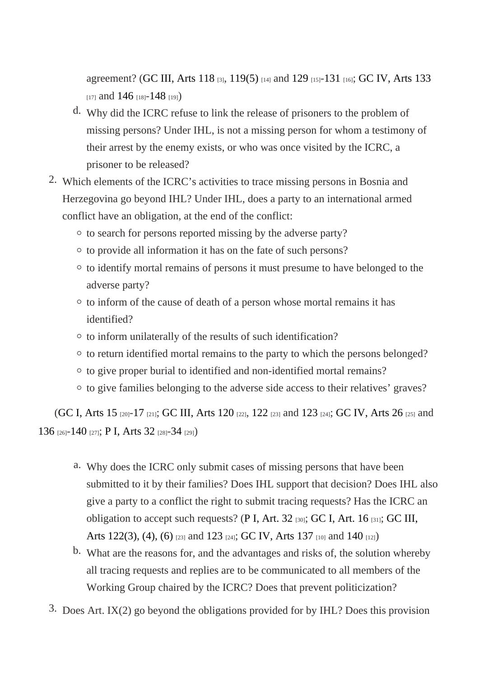agreement? GC III, Arts 118[3], [119\(5\)](https://ihl-databases.icrc.org/applic/ihl/ihl.nsf/Article.xsp?action=openDocument&documentId=FE81AE7B046A59FBC12563CD0051B4AA)[14] and [129](https://ihl-databases.icrc.org/applic/ihl/ihl.nsf/ART/375-590155?OpenDocument)[15][-131](https://ihl-databases.icrc.org/applic/ihl/ihl.nsf/ART/375-590157?OpenDocument)[16]; [GC IV, Arts 133](https://ihl-databases.icrc.org/applic/ihl/ihl.nsf/ART/380-600153?OpenDocument) [17] and  $146$  [18] -  $148$  [19]

- d. Why did the ICRC refuse to link the release of prisoners to the problem of missing persons? Under IHL, is not a missing person for whom a testimony of their arrest by the enemy exists, or who was once visited by the ICRC, a prisoner to be released?
- 2. Which elements of the ICRC's activities to trace missing persons in Bosnia and Herzegovina go beyond IHL? Under IHL, does a party to an international armed conflict have an obligation, at the end of the conflict:
	- $\circ$  to search for persons reported missing by the adverse party?
	- $\circ$  to provide all information it has on the fate of such persons?
	- $\circ$  to identify mortal remains of persons it must presume to have belonged to the adverse party?
	- $\circ$  to inform of the cause of death of a person whose mortal remains it has identified?
	- $\circ$  to inform unilaterally of the results of such identification?
	- $\circ$  to return identified mortal remains to the party to which the persons belonged?
	- $\circ$  to give proper burial to identified and non-identified mortal remains?
	- to give families belonging to the adverse side access to their relatives' graves?

[\(GC I, Arts 15](https://www.icrc.org/applic/ihl/ihl.nsf/Article.xsp?action=openDocument&documentId=8A4358F7FF38FFABC12563CD00519FAB)<sub>[20]</sub>-[17](https://www.icrc.org/applic/ihl/ihl.nsf/Article.xsp?action=openDocument&documentId=6E2CC750300A2364C12563CD00519FEC)<sub>[21]</sub>; [GC III, Arts 120](https://www.icrc.org/applic/ihl/ihl.nsf/Article.xsp?action=openDocument&documentId=40E27CDD24CF64F3C12563CD0051B4D5)<sub>[22]</sub>, [122](https://www.icrc.org/applic/ihl/ihl.nsf/Article.xsp?action=openDocument&documentId=D5DB08032EF1E670C12563CD0051B517)<sub>[23]</sub> and [123](https://www.icrc.org/applic/ihl/ihl.nsf/Article.xsp?action=openDocument&documentId=7589788DC88FB8F6C12563CD0051B54B)<sub>[24]</sub>; [GC IV, Arts 26](https://www.icrc.org/applic/ihl/ihl.nsf/Article.xsp?action=openDocument&documentId=317845BF582CD381C12563CD0051BBC6)<sub>[25]</sub> and [136](https://www.icrc.org/applic/ihl/ihl.nsf/Article.xsp?action=openDocument&documentId=16DF82C8D0D3E838C12563CD0051C56E)[26]-[140](https://www.icrc.org/applic/ihl/ihl.nsf/Article.xsp?action=openDocument&documentId=CBBF9C5B47E2A35EC12563CD0051C5C0)[27]; [P I, Arts 32](https://www.icrc.org/applic/ihl/ihl.nsf/Article.xsp?action=openDocument&documentId=3B2AD184335950CAC12563CD0051DA38)[28][-34](https://www.icrc.org/applic/ihl/ihl.nsf/Article.xsp?action=openDocument&documentId=AA52BFEA7C5C5BC3C12563CD0051DAA3)[29])

- a. Why does the ICRC only submit cases of missing persons that have been submitted to it by their families? Does IHL support that decision? Does IHL also give a party to a conflict the right to submit tracing requests? Has the ICRC an obligation to accept such request  $\mathbb{R}$ , (Art. 32 $_{[30]}$ ; [GC I, Art. 16](https://ihl-databases.icrc.org/applic/ihl/ihl.nsf/ART/365-570020?OpenDocument) $_{[31]}$ ; GC III, [Arts 122\(3\), \(4\), \(6](https://www.icrc.org/applic/ihl/ihl.nsf/Article.xsp?action=openDocument&documentId=D5DB08032EF1E670C12563CD0051B517)) $k_{31}$  and [123](https://www.icrc.org/applic/ihl/ihl.nsf/Article.xsp?action=openDocument&documentId=7589788DC88FB8F6C12563CD0051B54B)<sub>[24]</sub>; [GC IV, Arts 137](https://ihl-databases.icrc.org/applic/ihl/ihl.nsf/ART/380-600158?OpenDocument)<sub>[10]</sub> an[d 140](https://ihl-databases.icrc.org/applic/ihl/ihl.nsf/ART/380-600161?OpenDocument)<sub>[12]</sub>)
- b. What are the reasons for, and the advantages and risks of, the solution whereby all tracing requests and replies are to be communicated to all members of the Working Group chaired by the ICRC? Does that prevent politicization?
- 3. Does Art. IX(2) go beyond the obligations provided for by IHL? Does this provision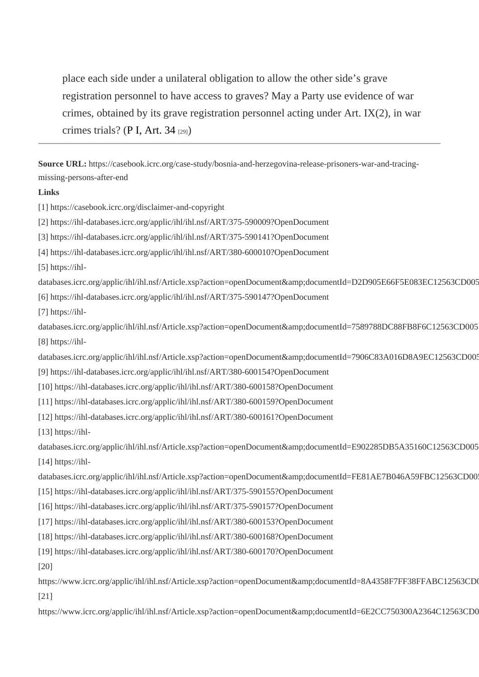place each side under a unilateral obligation to allow the other side's grave registration personnel to have access to graves? May a Party use evidence of war crimes, obtained by its grave registration personnel acting under Art. IX(2), in war crimes trials?  $P$  I, Art. 34 $_{[29]}$ )

Source URL: https://casebook.icrc.org/case-study/bosnia-and-herzegovina-release-prisoners-war-and-tracingmissing-persons-after-end

Links

[1] https://casebook.icrc.org/disclaimer-and-copyright

[2] https://ihl-databases.icrc.org/applic/ihl/ihl.nsf/ART/375-590009?OpenDocument

[3] https://ihl-databases.icrc.org/applic/ihl/ihl.nsf/ART/375-590141?OpenDocument

[4] https://ihl-databases.icrc.org/applic/ihl/ihl.nsf/ART/380-600010?OpenDocument

[5] https://ihl-

databases.icrc.org/applic/ihl/ihl.nsf/Article.xsp?action=openDocument&documentId=D2D905E66F5E083EC125

[6] https://ihl-databases.icrc.org/applic/ihl/ihl.nsf/ART/375-590147?OpenDocument

[7] https://ihl-

databases.icrc.org/applic/ihl/ihl.nsf/Article.xsp?action=openDocument&documentId=7589788DC88FB8F6C125 [8] https://ihl-

databases.icrc.org/applic/ihl/ihl.nsf/Article.xsp?action=openDocument&documentId=7906C83A016D8A9EC125

- [9] https://ihl-databases.icrc.org/applic/ihl/ihl.nsf/ART/380-600154?OpenDocument
- [10] https://ihl-databases.icrc.org/applic/ihl/ihl.nsf/ART/380-600158?OpenDocument
- [11] https://ihl-databases.icrc.org/applic/ihl/ihl.nsf/ART/380-600159?OpenDocument
- [12] https://ihl-databases.icrc.org/applic/ihl/ihl.nsf/ART/380-600161?OpenDocument

[13] https://ihl-

databases.icrc.org/applic/ihl/ihl.nsf/Article.xsp?action=openDocument&documentId=E902285DB5A35160C125 [14] https://ihl-

databases.icrc.org/applic/ihl/ihl.nsf/Article.xsp?action=openDocument&documentId=FE81AE7B046A59FBC125

- [15] https://ihl-databases.icrc.org/applic/ihl/ihl.nsf/ART/375-590155?OpenDocument
- [16] https://ihl-databases.icrc.org/applic/ihl/ihl.nsf/ART/375-590157?OpenDocument
- [17] https://ihl-databases.icrc.org/applic/ihl/ihl.nsf/ART/380-600153?OpenDocument
- [18] https://ihl-databases.icrc.org/applic/ihl/ihl.nsf/ART/380-600168?OpenDocument

[19] https://ihl-databases.icrc.org/applic/ihl/ihl.nsf/ART/380-600170?OpenDocument

[20]

https://www.icrc.org/applic/ihl/ihl.nsf/Article.xsp?action=openDocument&documentId=8A4358F7FF38FFABC12 [21]

https://www.icrc.org/applic/ihl/ihl.nsf/Article.xsp?action=openDocument&documentId=6E2CC750300A2364C12